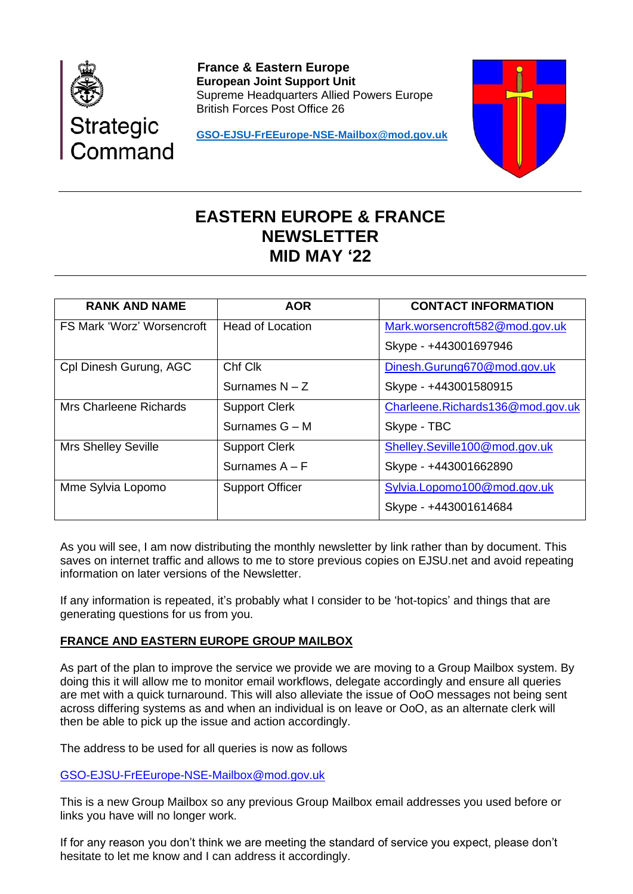

 **France & Eastern Europe European Joint Support Unit** Supreme Headquarters Allied Powers Europe British Forces Post Office 26

**[GSO-EJSU-FrEEurope-NSE-Mailbox@mod.gov.uk](mailto:GSO-EJSU-FrEEurope-NSE-Mailbox@mod.gov.uk)**



# **EASTERN EUROPE & FRANCE NEWSLETTER MID MAY '22**

| <b>RANK AND NAME</b>              | <b>AOR</b>              | <b>CONTACT INFORMATION</b>       |
|-----------------------------------|-------------------------|----------------------------------|
| <b>FS Mark 'Worz' Worsencroft</b> | <b>Head of Location</b> | Mark.worsencroft582@mod.gov.uk   |
|                                   |                         | Skype - +443001697946            |
| Cpl Dinesh Gurung, AGC            | Chf Clk                 | Dinesh.Gurung670@mod.gov.uk      |
|                                   | Surnames $N - Z$        | Skype - +443001580915            |
| <b>Mrs Charleene Richards</b>     | <b>Support Clerk</b>    | Charleene.Richards136@mod.gov.uk |
|                                   | Surnames $G - M$        | Skype - TBC                      |
| <b>Mrs Shelley Seville</b>        | <b>Support Clerk</b>    | Shelley.Seville100@mod.gov.uk    |
|                                   | Surnames $A - F$        | Skype - +443001662890            |
| Mme Sylvia Lopomo                 | <b>Support Officer</b>  | Sylvia.Lopomo100@mod.gov.uk      |
|                                   |                         | Skype - +443001614684            |

As you will see, I am now distributing the monthly newsletter by link rather than by document. This saves on internet traffic and allows to me to store previous copies on EJSU.net and avoid repeating information on later versions of the Newsletter.

If any information is repeated, it's probably what I consider to be 'hot-topics' and things that are generating questions for us from you.

# **FRANCE AND EASTERN EUROPE GROUP MAILBOX**

As part of the plan to improve the service we provide we are moving to a Group Mailbox system. By doing this it will allow me to monitor email workflows, delegate accordingly and ensure all queries are met with a quick turnaround. This will also alleviate the issue of OoO messages not being sent across differing systems as and when an individual is on leave or OoO, as an alternate clerk will then be able to pick up the issue and action accordingly.

The address to be used for all queries is now as follows

[GSO-EJSU-FrEEurope-NSE-Mailbox@mod.gov.uk](mailto:GSO-EJSU-FrEEurope-NSE-Mailbox@mod.gov.uk)

This is a new Group Mailbox so any previous Group Mailbox email addresses you used before or links you have will no longer work.

If for any reason you don't think we are meeting the standard of service you expect, please don't hesitate to let me know and I can address it accordingly.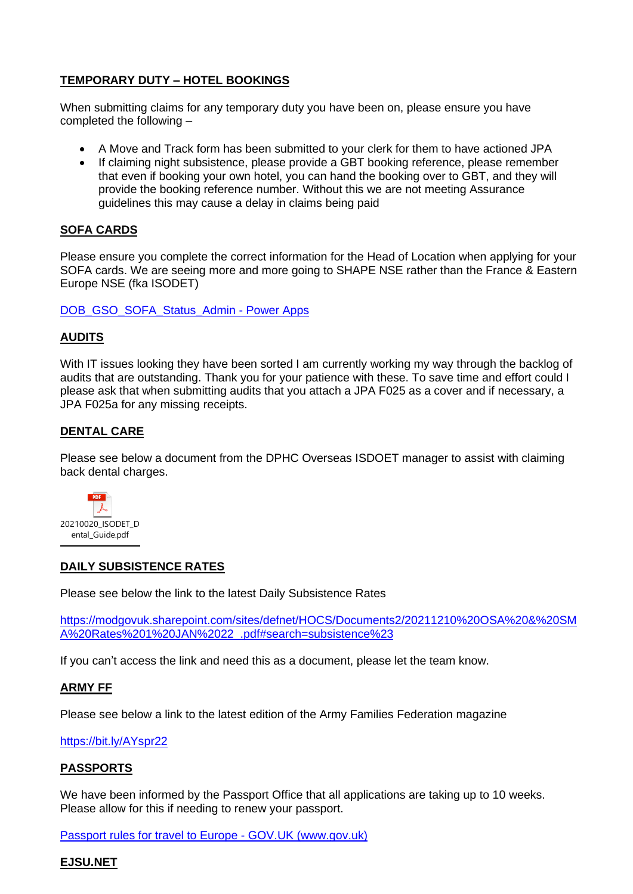# **TEMPORARY DUTY – HOTEL BOOKINGS**

When submitting claims for any temporary duty you have been on, please ensure you have completed the following –

- A Move and Track form has been submitted to your clerk for them to have actioned JPA
- If claiming night subsistence, please provide a GBT booking reference, please remember that even if booking your own hotel, you can hand the booking over to GBT, and they will provide the booking reference number. Without this we are not meeting Assurance guidelines this may cause a delay in claims being paid

## **SOFA CARDS**

Please ensure you complete the correct information for the Head of Location when applying for your SOFA cards. We are seeing more and more going to SHAPE NSE rather than the France & Eastern Europe NSE (fka ISODET)

[DOB\\_GSO\\_SOFA\\_Status\\_Admin -](https://apps.powerapps.com/play/2b951cb3-4e93-41a9-9e44-a742754005cb?tenantId=be7760ed-5953-484b-ae95-d0a16dfa09e5&source=portal&screenColor=rgba%280%2c+176%2c+240%2c+1%29&skipAppMetadata=true) Power Apps

## **AUDITS**

With IT issues looking they have been sorted I am currently working my way through the backlog of audits that are outstanding. Thank you for your patience with these. To save time and effort could I please ask that when submitting audits that you attach a JPA F025 as a cover and if necessary, a JPA F025a for any missing receipts.

## **DENTAL CARE**

Please see below a document from the DPHC Overseas ISDOET manager to assist with claiming back dental charges.



## **DAILY SUBSISTENCE RATES**

Please see below the link to the latest Daily Subsistence Rates

[https://modgovuk.sharepoint.com/sites/defnet/HOCS/Documents2/20211210%20OSA%20&%20SM](https://modgovuk.sharepoint.com/sites/defnet/HOCS/Documents2/20211210%20OSA%20&%20SMA%20Rates%201%20JAN%2022_.pdf#search=subsistence%23) [A%20Rates%201%20JAN%2022\\_.pdf#search=subsistence%23](https://modgovuk.sharepoint.com/sites/defnet/HOCS/Documents2/20211210%20OSA%20&%20SMA%20Rates%201%20JAN%2022_.pdf#search=subsistence%23)

If you can't access the link and need this as a document, please let the team know.

#### **ARMY FF**

Please see below a link to the latest edition of the Army Families Federation magazine

[https://bit.ly/AYspr22](https://gbr01.safelinks.protection.outlook.com/?url=https%3A%2F%2Fbit.ly%2FAYspr22&data=04%7C01%7CMark.Worsencroft582%40mod.gov.uk%7C862f8bb0f8514a44301408da16205407%7Cbe7760ed5953484bae95d0a16dfa09e5%7C0%7C1%7C637846625346652784%7CUnknown%7CTWFpbGZsb3d8eyJWIjoiMC4wLjAwMDAiLCJQIjoiV2luMzIiLCJBTiI6Ik1haWwiLCJXVCI6Mn0%3D%7C3000&sdata=3mvNui3J8v5mD0L%2B0EqPl8286PoOpkVW0Fh%2BPDYhPC4%3D&reserved=0)

#### **PASSPORTS**

We have been informed by the Passport Office that all applications are taking up to 10 weeks. Please allow for this if needing to renew your passport.

[Passport rules for travel to Europe -](https://www.gov.uk/guidance/passport-rules-for-travel-to-europe) GOV.UK (www.gov.uk)

## **EJSU.NET**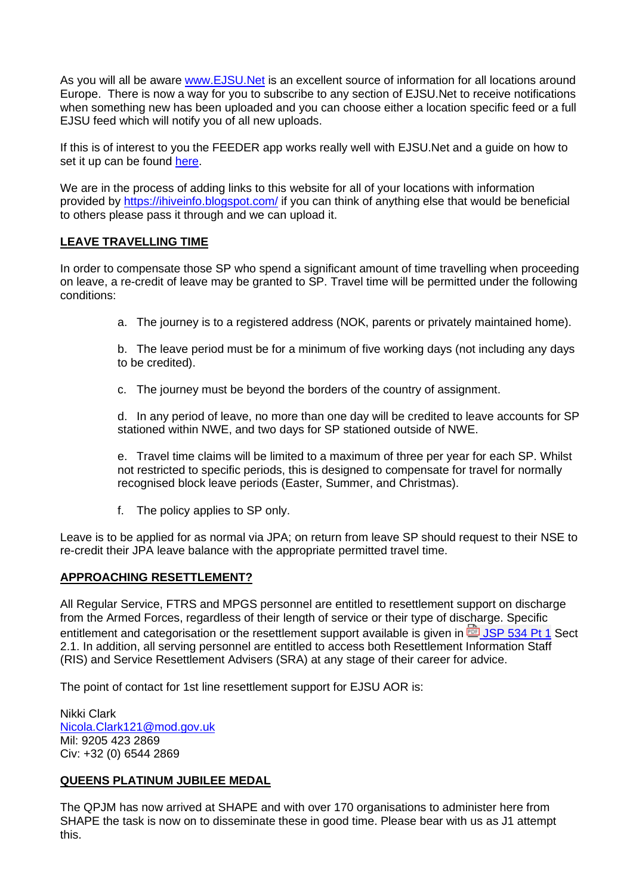As you will all be aware [www.EJSU.Net](http://www.ejsu.net/) is an excellent source of information for all locations around Europe. There is now a way for you to subscribe to any section of EJSU.Net to receive notifications when something new has been uploaded and you can choose either a location specific feed or a full EJSU feed which will notify you of all new uploads.

If this is of interest to you the FEEDER app works really well with EJSU.Net and a guide on how to set it up can be found [here.](https://gbr01.safelinks.protection.outlook.com/?url=https%3A%2F%2Fwww.ejsu.net%2F2021%2F11%2F16%2Fget-notifications-and-updates-for-ejsu-net-rss-guide%2F&data=04%7C01%7CMark.Worsencroft582%40mod.gov.uk%7C41cba0c4675f405fa6a608d9b0dad83f%7Cbe7760ed5953484bae95d0a16dfa09e5%7C0%7C0%7C637735276397814072%7CUnknown%7CTWFpbGZsb3d8eyJWIjoiMC4wLjAwMDAiLCJQIjoiV2luMzIiLCJBTiI6Ik1haWwiLCJXVCI6Mn0%3D%7C3000&sdata=x%2Biw6BHFVEG0qafwlg0amq3PvNy8%2BV7gUHibprrMbOc%3D&reserved=0)

We are in the process of adding links to this website for all of your locations with information provided by<https://ihiveinfo.blogspot.com/> if you can think of anything else that would be beneficial to others please pass it through and we can upload it.

## **LEAVE TRAVELLING TIME**

In order to compensate those SP who spend a significant amount of time travelling when proceeding on leave, a re-credit of leave may be granted to SP. Travel time will be permitted under the following conditions:

a. The journey is to a registered address (NOK, parents or privately maintained home).

b. The leave period must be for a minimum of five working days (not including any days to be credited).

c. The journey must be beyond the borders of the country of assignment.

d. In any period of leave, no more than one day will be credited to leave accounts for SP stationed within NWE, and two days for SP stationed outside of NWE.

e. Travel time claims will be limited to a maximum of three per year for each SP. Whilst not restricted to specific periods, this is designed to compensate for travel for normally recognised block leave periods (Easter, Summer, and Christmas).

f. The policy applies to SP only.

Leave is to be applied for as normal via JPA; on return from leave SP should request to their NSE to re-credit their JPA leave balance with the appropriate permitted travel time.

## **APPROACHING RESETTLEMENT?**

All Regular Service, FTRS and MPGS personnel are entitled to resettlement support on discharge from the Armed Forces, regardless of their length of service or their type of discharge. Specific entitlement and categorisation or the resettlement support available is given in  $\overline{19}$  [JSP 534 Pt 1](https://gbr01.safelinks.protection.outlook.com/ap/b-59584e83/?url=https%3A%2F%2Fmodgovuk.sharepoint.com%2Fsites%2Fdefnet%2FHOCS%2FDocuments%2FJSP534_Part1.pdf&data=04%7C01%7CMark.Worsencroft582%40mod.gov.uk%7C7fcc58fdafdb41e489d908d9f61ba2f5%7Cbe7760ed5953484bae95d0a16dfa09e5%7C0%7C0%7C637811420815365592%7CUnknown%7CTWFpbGZsb3d8eyJWIjoiMC4wLjAwMDAiLCJQIjoiV2luMzIiLCJBTiI6Ik1haWwiLCJXVCI6Mn0%3D%7C3000&sdata=kJRqHXi1NeNva%2FMilvGKuemsVtnYAGgMkZrLC94817U%3D&reserved=0) Sect 2.1. In addition, all serving personnel are entitled to access both Resettlement Information Staff (RIS) and Service Resettlement Advisers (SRA) at any stage of their career for advice.

The point of contact for 1st line resettlement support for EJSU AOR is:

Nikki Clark [Nicola.Clark121@mod.gov.uk](mailto:Nicola.Clark121@mod.gov.uk) Mil: 9205 423 2869 Civ: +32 (0) 6544 2869

## **QUEENS PLATINUM JUBILEE MEDAL**

The QPJM has now arrived at SHAPE and with over 170 organisations to administer here from SHAPE the task is now on to disseminate these in good time. Please bear with us as J1 attempt this.